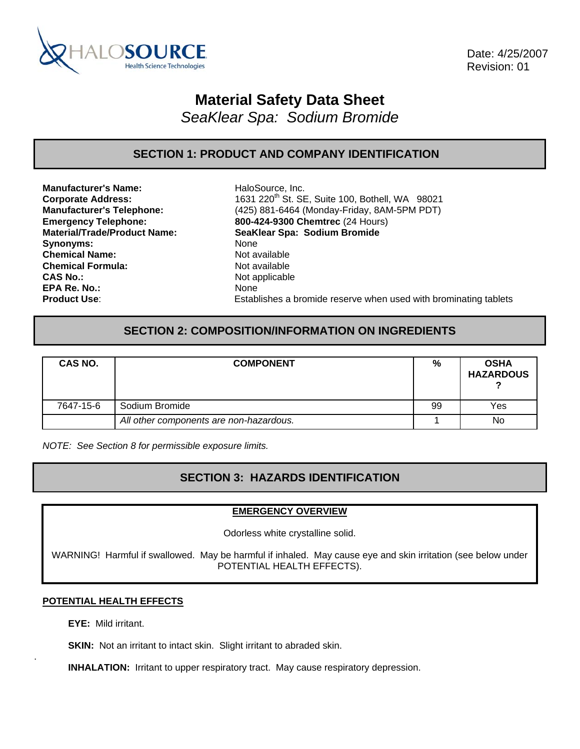

 Date: 4/25/2007 Revision: 01

# **Material Safety Data Sheet**

*SeaKlear Spa: Sodium Bromide* 

# **SECTION 1: PRODUCT AND COMPANY IDENTIFICATION**

**Manufacturer's Name:** HaloSource, Inc. Synonyms: None **Chemical Name:** Not available **Chemical Formula:** Not available **CAS No.:** Not applicable **EPA Re. No.:** None

**Corporate Address:** 1631 220<sup>th</sup> St. SE, Suite 100, Bothell, WA 98021 **Manufacturer's Telephone:** (425) 881-6464 (Monday-Friday, 8AM-5PM PDT) **Emergency Telephone: 800-424-9300 Chemtrec** (24 Hours) **Material/Trade/Product Name: SeaKlear Spa: Sodium Bromide Product Use**: Establishes a bromide reserve when used with brominating tablets

### **SECTION 2: COMPOSITION/INFORMATION ON INGREDIENTS**

| CAS NO.   | <b>COMPONENT</b>                        | %  | <b>OSHA</b><br><b>HAZARDOUS</b> |
|-----------|-----------------------------------------|----|---------------------------------|
| 7647-15-6 | Sodium Bromide                          | 99 | Yes                             |
|           | All other components are non-hazardous. |    | No                              |

*NOTE: See Section 8 for permissible exposure limits.* 

### **SECTION 3: HAZARDS IDENTIFICATION**

### **EMERGENCY OVERVIEW**

Odorless white crystalline solid.

WARNING! Harmful if swallowed. May be harmful if inhaled. May cause eye and skin irritation (see below under POTENTIAL HEALTH EFFECTS).

### **POTENTIAL HEALTH EFFECTS**

**EYE:** Mild irritant.

.

**SKIN:** Not an irritant to intact skin. Slight irritant to abraded skin.

**INHALATION:** Irritant to upper respiratory tract. May cause respiratory depression.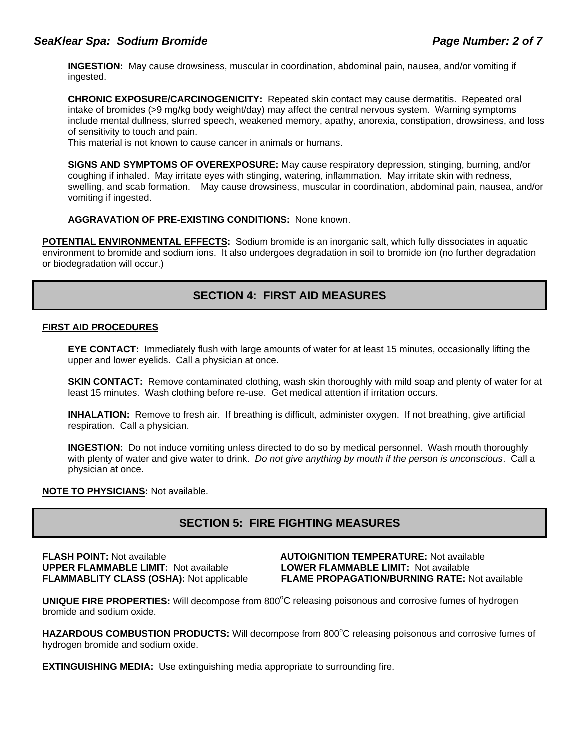### *SeaKlear Spa: Sodium Bromide Page Number: 2 of 7*

**INGESTION:** May cause drowsiness, muscular in coordination, abdominal pain, nausea, and/or vomiting if ingested.

**CHRONIC EXPOSURE/CARCINOGENICITY:** Repeated skin contact may cause dermatitis. Repeated oral intake of bromides (>9 mg/kg body weight/day) may affect the central nervous system. Warning symptoms include mental dullness, slurred speech, weakened memory, apathy, anorexia, constipation, drowsiness, and loss of sensitivity to touch and pain.

This material is not known to cause cancer in animals or humans.

**SIGNS AND SYMPTOMS OF OVEREXPOSURE:** May cause respiratory depression, stinging, burning, and/or coughing if inhaled. May irritate eyes with stinging, watering, inflammation. May irritate skin with redness, swelling, and scab formation. May cause drowsiness, muscular in coordination, abdominal pain, nausea, and/or vomiting if ingested.

### **AGGRAVATION OF PRE-EXISTING CONDITIONS:** None known.

**POTENTIAL ENVIRONMENTAL EFFECTS:** Sodium bromide is an inorganic salt, which fully dissociates in aquatic environment to bromide and sodium ions. It also undergoes degradation in soil to bromide ion (no further degradation or biodegradation will occur.)

### **SECTION 4: FIRST AID MEASURES**

#### **FIRST AID PROCEDURES**

**EYE CONTACT:** Immediately flush with large amounts of water for at least 15 minutes, occasionally lifting the upper and lower eyelids. Call a physician at once.

**SKIN CONTACT:** Remove contaminated clothing, wash skin thoroughly with mild soap and plenty of water for at least 15 minutes. Wash clothing before re-use. Get medical attention if irritation occurs.

**INHALATION:** Remove to fresh air. If breathing is difficult, administer oxygen. If not breathing, give artificial respiration. Call a physician.

**INGESTION:** Do not induce vomiting unless directed to do so by medical personnel. Wash mouth thoroughly with plenty of water and give water to drink. *Do not give anything by mouth if the person is unconscious*. Call a physician at once.

### **NOTE TO PHYSICIANS:** Not available.

### **SECTION 5: FIRE FIGHTING MEASURES**

**UPPER FLAMMABLE LIMIT:** Not available **LOWER FLAMMABLE LIMIT:** Not available

**FLASH POINT:** Not available **AUTOIGNITION TEMPERATURE:** Not available **FLAMMABLITY CLASS (OSHA):** Not applicable **FLAME PROPAGATION/BURNING RATE:** Not available

**UNIQUE FIRE PROPERTIES:** Will decompose from 800°C releasing poisonous and corrosive fumes of hydrogen bromide and sodium oxide.

HAZARDOUS COMBUSTION PRODUCTS: Will decompose from 800°C releasing poisonous and corrosive fumes of hydrogen bromide and sodium oxide.

**EXTINGUISHING MEDIA:** Use extinguishing media appropriate to surrounding fire.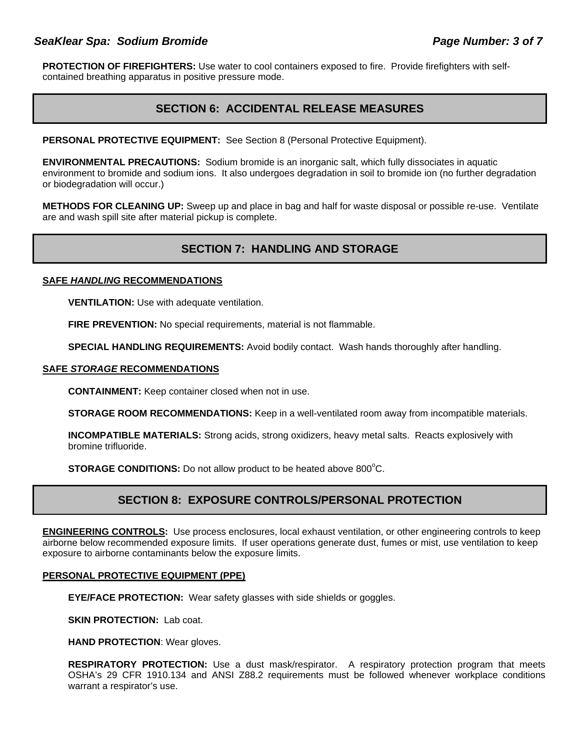### *SeaKlear Spa: Sodium Bromide Page Number: 3 of 7*

**PROTECTION OF FIREFIGHTERS:** Use water to cool containers exposed to fire. Provide firefighters with selfcontained breathing apparatus in positive pressure mode.

### **SECTION 6: ACCIDENTAL RELEASE MEASURES**

PERSONAL PROTECTIVE EQUIPMENT: See Section 8 (Personal Protective Equipment).

**ENVIRONMENTAL PRECAUTIONS:** Sodium bromide is an inorganic salt, which fully dissociates in aquatic environment to bromide and sodium ions. It also undergoes degradation in soil to bromide ion (no further degradation or biodegradation will occur.)

**METHODS FOR CLEANING UP:** Sweep up and place in bag and half for waste disposal or possible re-use. Ventilate are and wash spill site after material pickup is complete.

# **SECTION 7: HANDLING AND STORAGE**

### **SAFE** *HANDLING* **RECOMMENDATIONS**

**VENTILATION:** Use with adequate ventilation.

**FIRE PREVENTION:** No special requirements, material is not flammable.

**SPECIAL HANDLING REQUIREMENTS:** Avoid bodily contact. Wash hands thoroughly after handling.

#### **SAFE** *STORAGE* **RECOMMENDATIONS**

**CONTAINMENT:** Keep container closed when not in use.

**STORAGE ROOM RECOMMENDATIONS:** Keep in a well-ventilated room away from incompatible materials.

**INCOMPATIBLE MATERIALS:** Strong acids, strong oxidizers, heavy metal salts. Reacts explosively with bromine trifluoride.

**STORAGE CONDITIONS:** Do not allow product to be heated above 800°C.

### **SECTION 8: EXPOSURE CONTROLS/PERSONAL PROTECTION**

**ENGINEERING CONTROLS:** Use process enclosures, local exhaust ventilation, or other engineering controls to keep airborne below recommended exposure limits. If user operations generate dust, fumes or mist, use ventilation to keep exposure to airborne contaminants below the exposure limits.

### **PERSONAL PROTECTIVE EQUIPMENT (PPE)**

**EYE/FACE PROTECTION:** Wear safety glasses with side shields or goggles.

**SKIN PROTECTION: Lab coat.** 

**HAND PROTECTION**: Wear gloves.

**RESPIRATORY PROTECTION:** Use a dust mask/respirator. A respiratory protection program that meets OSHA's 29 CFR 1910.134 and ANSI Z88.2 requirements must be followed whenever workplace conditions warrant a respirator's use.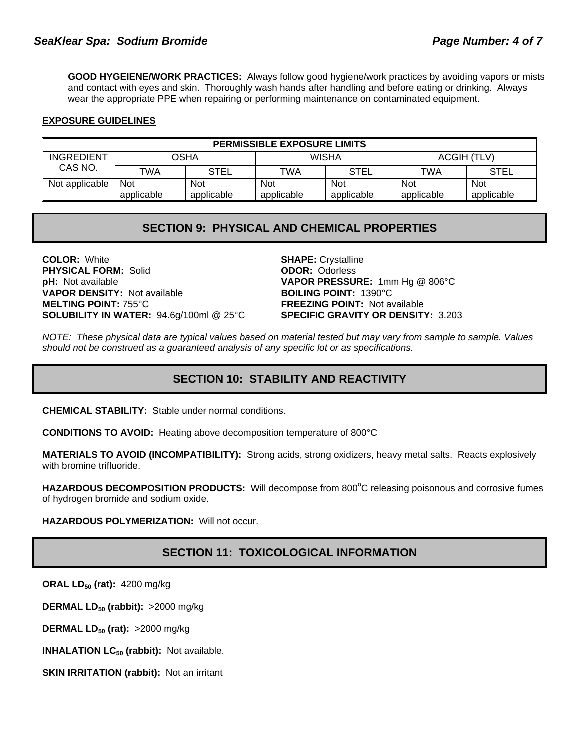**GOOD HYGEIENE/WORK PRACTICES:** Always follow good hygiene/work practices by avoiding vapors or mists and contact with eyes and skin. Thoroughly wash hands after handling and before eating or drinking. Always wear the appropriate PPE when repairing or performing maintenance on contaminated equipment.

### **EXPOSURE GUIDELINES**

| <b>PERMISSIBLE EXPOSURE LIMITS</b> |            |             |              |             |             |             |
|------------------------------------|------------|-------------|--------------|-------------|-------------|-------------|
| INGREDIENT                         | OSHA       |             | <b>WISHA</b> |             | ACGIH (TLV) |             |
| CAS NO.                            | TWA        | <b>STEL</b> | TWA          | <b>STEL</b> | TWA         | <b>STEL</b> |
| Not applicable                     | <b>Not</b> | Not         | <b>Not</b>   | <b>Not</b>  | <b>Not</b>  | <b>Not</b>  |
|                                    | applicable | applicable  | applicable   | applicable  | applicable  | applicable  |

### **SECTION 9: PHYSICAL AND CHEMICAL PROPERTIES**

**COLOR:** White **SHAPE:** Crystalline **SHAPE:** Crystalline **PHYSICAL FORM:** Solid **PHYSICAL FORM: Solid pH:** Not available **VAPOR PRESSURE:** 1mm Hg @ 806°C **VAPOR DENSITY:** Not available **BOILING POINT:** 1390°C **MELTING POINT:** 755°C **FREEZING POINT:** Not available **SOLUBILITY IN WATER:** 94.6g/100ml @ 25°C **SPECIFIC GRAVITY OR DENSITY:** 3.203

*NOTE: These physical data are typical values based on material tested but may vary from sample to sample. Values should not be construed as a guaranteed analysis of any specific lot or as specifications.*

# **SECTION 10: STABILITY AND REACTIVITY**

**CHEMICAL STABILITY:** Stable under normal conditions.

**CONDITIONS TO AVOID:** Heating above decomposition temperature of 800°C

**MATERIALS TO AVOID (INCOMPATIBILITY):** Strong acids, strong oxidizers, heavy metal salts. Reacts explosively with bromine trifluoride.

HAZARDOUS DECOMPOSITION PRODUCTS: Will decompose from 800°C releasing poisonous and corrosive fumes of hydrogen bromide and sodium oxide.

**HAZARDOUS POLYMERIZATION:** Will not occur.

### **SECTION 11: TOXICOLOGICAL INFORMATION**

**ORAL LD50 (rat):** 4200 mg/kg

**DERMAL LD<sub>50</sub> (rabbit):** >2000 mg/kg

**DERMAL LD<sub>50</sub> (rat):** >2000 mg/kg

**INHALATION LC<sub>50</sub> (rabbit):** Not available.

**SKIN IRRITATION (rabbit):** Not an irritant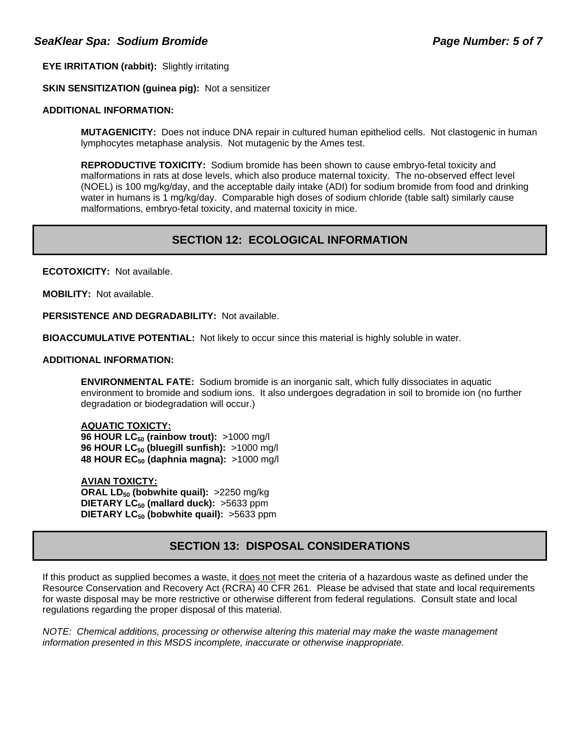**EYE IRRITATION (rabbit):** Slightly irritating

**SKIN SENSITIZATION (guinea pig):** Not a sensitizer

### **ADDITIONAL INFORMATION:**

 **MUTAGENICITY:** Does not induce DNA repair in cultured human epitheliod cells. Not clastogenic in human lymphocytes metaphase analysis. Not mutagenic by the Ames test.

**REPRODUCTIVE TOXICITY:** Sodium bromide has been shown to cause embryo-fetal toxicity and malformations in rats at dose levels, which also produce maternal toxicity. The no-observed effect level (NOEL) is 100 mg/kg/day, and the acceptable daily intake (ADI) for sodium bromide from food and drinking water in humans is 1 mg/kg/day. Comparable high doses of sodium chloride (table salt) similarly cause malformations, embryo-fetal toxicity, and maternal toxicity in mice.

# **SECTION 12: ECOLOGICAL INFORMATION**

**ECOTOXICITY:** Not available.

**MOBILITY:** Not available.

**PERSISTENCE AND DEGRADABILITY:** Not available.

**BIOACCUMULATIVE POTENTIAL:** Not likely to occur since this material is highly soluble in water.

### **ADDITIONAL INFORMATION:**

**ENVIRONMENTAL FATE:** Sodium bromide is an inorganic salt, which fully dissociates in aquatic environment to bromide and sodium ions. It also undergoes degradation in soil to bromide ion (no further degradation or biodegradation will occur.)

### **AQUATIC TOXICTY:**

**96 HOUR LC<sub>50</sub> (rainbow trout):** >1000 mg/l 96 HOUR LC<sub>50</sub> (bluegill sunfish): >1000 mg/l **48 HOUR EC50 (daphnia magna):** >1000 mg/l

**AVIAN TOXICTY: ORAL LD<sub>50</sub> (bobwhite quail):** >2250 mg/kg **DIETARY LC<sub>50</sub> (mallard duck):** >5633 ppm **DIETARY LC<sub>50</sub> (bobwhite quail): >5633 ppm** 

# **SECTION 13: DISPOSAL CONSIDERATIONS**

If this product as supplied becomes a waste, it does not meet the criteria of a hazardous waste as defined under the Resource Conservation and Recovery Act (RCRA) 40 CFR 261. Please be advised that state and local requirements for waste disposal may be more restrictive or otherwise different from federal regulations. Consult state and local regulations regarding the proper disposal of this material.

*NOTE: Chemical additions, processing or otherwise altering this material may make the waste management information presented in this MSDS incomplete, inaccurate or otherwise inappropriate.*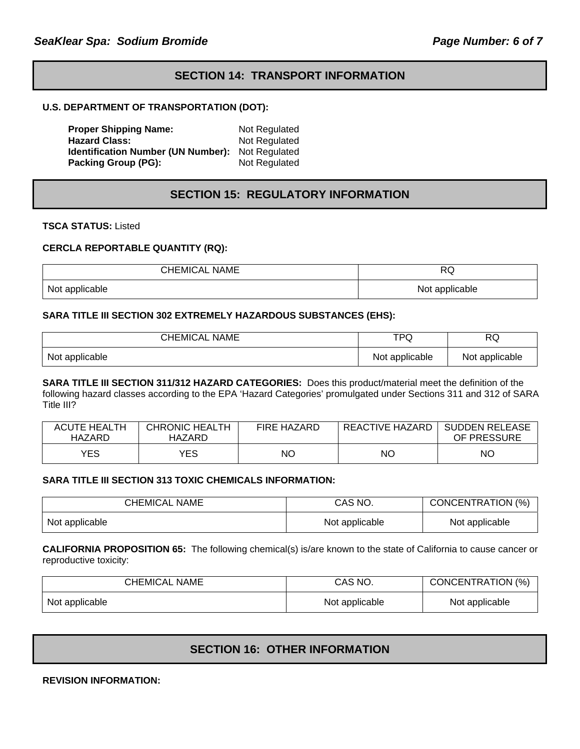## **SECTION 14: TRANSPORT INFORMATION**

### **U.S. DEPARTMENT OF TRANSPORTATION (DOT):**

**Proper Shipping Name:** Not Regulated Hazard Class: Not Regulated<br>**Identification Number (UN Number):** Not Regulated **Identification Number (UN Number): Packing Group (PG):** Not Regulated

# **SECTION 15: REGULATORY INFORMATION**

**TSCA STATUS:** Listed

### **CERCLA REPORTABLE QUANTITY (RQ):**

| CHEMICAL NAME  | D<br>ヽい        |
|----------------|----------------|
| Not applicable | Not applicable |

### **SARA TITLE III SECTION 302 EXTREMELY HAZARDOUS SUBSTANCES (EHS):**

| <b>CHEMICAL NAME</b> | <b>TPQ</b>     | <b>RQ</b>      |
|----------------------|----------------|----------------|
| Not applicable       | Not applicable | Not applicable |

**SARA TITLE III SECTION 311/312 HAZARD CATEGORIES:** Does this product/material meet the definition of the following hazard classes according to the EPA 'Hazard Categories' promulgated under Sections 311 and 312 of SARA Title III?

| <b>ACUTE HEALTH</b><br>HAZARD | <b>CHRONIC HEALTH</b><br>HAZARD | <b>FIRE HAZARD</b> | REACTIVE HAZARD | <b>SUDDEN RELEASE</b><br>OF PRESSURE |
|-------------------------------|---------------------------------|--------------------|-----------------|--------------------------------------|
| <b>YES</b>                    | YES                             | <b>NO</b>          | NO.             | ΝO                                   |

#### **SARA TITLE III SECTION 313 TOXIC CHEMICALS INFORMATION:**

| CHEMICAL NAME  | CAS NO.        | CONCENTRATION (%) |
|----------------|----------------|-------------------|
| Not applicable | Not applicable | Not applicable    |

**CALIFORNIA PROPOSITION 65:** The following chemical(s) is/are known to the state of California to cause cancer or reproductive toxicity:

| <b>CHEMICAL NAME</b> | CAS NO.        | CONCENTRATION (%) |
|----------------------|----------------|-------------------|
| Not applicable       | Not applicable | Not applicable    |

### **SECTION 16: OTHER INFORMATION**

**REVISION INFORMATION:**